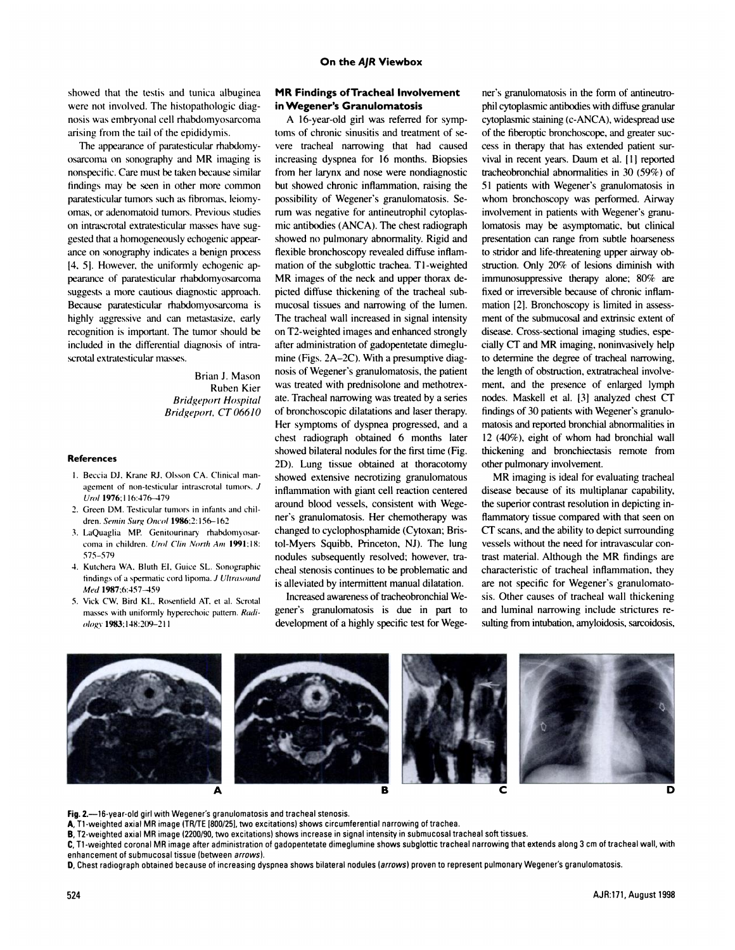showed that the testis and tunica albuginea were not involved. The histopathologic diagnosis was embryonal cell rhabdomyosarcoma arising from the tailof the epididymis.

The appearance of paratesticular rhabdomy osarcoma on sonography and MR imaging is nonspecific. Care must be taken because similar findings may be seen in other more common paratesticular tumors such as fibromas, leiomyomas, or adenomatoid tumors. Previous studies on intrascrotal extratesticular masses have suggested that a homogeneously echogenic appearance on sonography indicates a benign process 14,5]. However, the uniformly echogenicap pearance of paratesticular rhabdomyosarcoma suggests a more cautious diagnostic approach. Because paratesticular rhabdomyosarcoma is highly aggressive and can metastasize, early recognition is important.The tumor should be included in the differential diagnosis of intrascrotal extratesticular masses.

> Brian J. Mason Ruben Kier *Bridgeport Hospital Bridgeport, CT 06610*

## **References**

- I. Beccia Di. Kranc Ri. Olsson CA. Clinical man agement of non-testicular intrascrotal tumors. J *Urel 1976:1 16:476-479*
- 2. Green DM. Testicular tumors in infants and children. Semin Surg Oncol 1986;2:156-162
- 3. LaQuaglia MP. Genitourinary rhabdomyosar coma in children. Urol Clin North Am 1991:18: **575—579**
- 4. Kutchera WA, Bluth EI, Guice SL. Sonographic findings of a spermatic cord lipoma. J Ultrasound Med 1987;6:457-459
- 5. Vick CW, Bird KL, Rosenfield AT, et al. Scrotal masses with uniformly hyperechoic pattern. Radi *ologv 1983:148:209—211*

## **MR Findings ofTracheal Involvement in Wegener's Granulomatosis**

A 16-year-old girl was referred for symp toms of chronic sinusitis and treatment of severe tracheal narrowing that had caused increasing dyspnea for 16 months. Biopsies from her larynx and nose were nondiagnostic but showed chronic inflammation, raising the possibility of Wegener's granulomatosis. Se rum was negative for antineutrophil cytoplasmic antibodies (ANCA). The chest radiograph showed no pulmonary abnormality. Rigid and flexible bronchoscopy revealed diffuse inflammation of the subglottic trachea. Tl-weighted MR images of the neck and upper thorax depicted diffuse thickening of the tracheal submucosal tissues and narrowing of the lumen. The tracheal wall increased in signal intensity on T2-weighted images and enhanced strongly after administration of gadopentetate dimeglumine (Figs.  $2A-2C$ ). With a presumptive diagnosis of Wegener's granulomatosis, the patient was treated with prednisolone and methotrex ate. Tracheal narrowing was treated by a series of bronchoscopic dilatations and laser therapy. Her symptoms of dyspnea progressed, and a chest radiograph obtained 6 months later showed bilateral nodules for the first time (Fig. 2D). Lung tissue obtained at thoracotomy showed extensive necrotizing granulomatous inflammation with giant cell reaction centered around blood vessels, consistent with Wegener's granulomatosis. Her chemotherapy was changed to cyclophosphamide (Cytoxan; Bristol-Myers Squibb, Princeton, NJ). The lung nodules subsequently resolved; however, tracheal stenosis continues to be problematic and is alleviated by intermittent manual dilatation.

Increased awareness of tracheobronchial Wegener's granulomatosis is due in part to development of a highly specific test for Wege-

ner's granulomatosis in the form of antineutrophil cytoplasmic antibodies with diffuse granular cytoplasmic staining (c-ANCA), widespread use of the fiberoptic bronchoscope, and greater suc cess in therapy that has extended patient sur vival in recent years.Daum et al. [1] reported tracheobronchial abnormalities in 30 (59%) of **5 1 patients with Wegener's granulomatosis in** whom bronchoscopy was performed. Airway involvement in patients with Wegener's granulomatosis may be asymptomatic, but clinical presentation can range from subtle hoarseness to stridor and life-threatening upper airway obstruction. Only 20% of lesions diminish with immunosuppressive therapy alone; 80% are fixed or irreversible because of chronic inflam mation [2]. Bronchoscopy is limited in assess ment of the submucosal and extrinsic extent of disease. Cross-sectional imaging studies, espe cially CT and MR imaging, noninvasively help to determine the degree of tracheal narrowing, the length of obstruction, extratracheal involvement, and the presence of enlarged lymph nodes. Maskell et al. [3] analyzed chest CT findings of 30 patients with Wegener's granulomatosis and reported bronchial abnormalities in  $12$  (40%), eight of whom had bronchial wall thickening and bronchiectasis remote from other pulmonary involvement.

**MR** imaging is ideal for evaluating tracheal disease because of its multiplanar capability, the superior contrast resolution in depicting inflammatory tissue compared with that seen on CT scans, and the ability to depict surrounding vessels without the need for intravascular contrast material. Although the MR findings are characteristic of tracheal inflammation, they are not specific for Wegener's granulomato sis. Other causes of tracheal wall thickening and luminal narrowing include strictures re sulting from intubation, amyloidosis, sarcoidosis,



Fig. 2.—16-year-old girl with Wegener's granulomatosis and tracheal stenosis.

**A,11-weightedaxialMRimage(TRITE[800/251, twoexcitations) showscircumferential narrowingoftrachea.**

**B,12-weightedaxialMRimage(2200/90, twoexcitations) showsincreaseinsignalintensityinsubmucosal trachealsoftissues.**

C, T1-weighted coronal MR image after administration of gadopentetate dimeglumine shows subglottic tracheal narrowing that extends along 3 cm of tracheal wall, with enhancement of submucosal tissue (between arrows).

D, Chest radiograph obtained because of increasing dyspnea shows bilateral nodules (arrows) proven to represent pulmonary Wegener's granulomatosis.